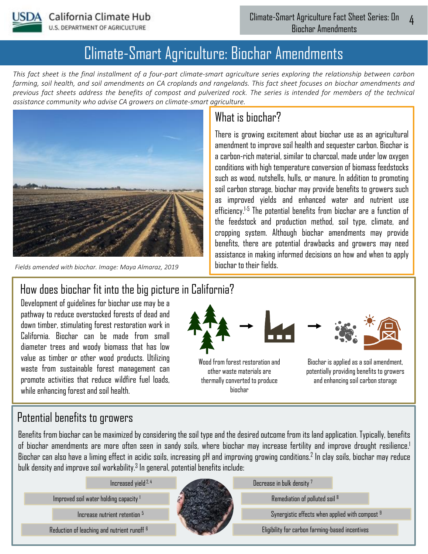

# Climate-Smart Agriculture: Biochar Amendments

*This fact sheet is the final installment of a four-part climate-smart agriculture series exploring the relationship between carbon farming, soil health, and soil amendments on CA croplands and rangelands. This fact sheet focuses on biochar amendments and previous fact sheets address the benefits of compost and pulverized rock. The series is intended for members of the technical assistance community who advise CA growers on climate-smart agriculture.* 



*Fields amended with biochar. Image: Maya Almaraz, 2019*

## What is hinchar?

There is growing excitement about biochar use as an agricultural amendment to improve soil health and sequester carbon. Biochar is a carbon-rich material, similar to charcoal, made under low oxygen conditions with high temperature conversion of biomass feedstocks such as wood, nutshells, hulls, or manure. In addition to promoting soil carbon storage, biochar may provide benefits to growers such as improved yields and enhanced water and nutrient use efficiency. 1-5 The potential benefits from biochar are a function of the feedstock and production method, soil type, climate, and cropping system. Although biochar amendments may provide benefits, there are potential drawbacks and growers may need assistance in making informed decisions on how and when to apply biochar to their fields.

### How does biochar fit into the big picture in California?

Development of guidelines for biochar use may be a pathway to reduce overstocked forests of dead and down timber, stimulating forest restoration work in California. Biochar can be made from small diameter trees and woody biomass that has low value as timber or other wood products. Utilizing waste from sustainable forest management can promote activities that reduce wildfire fuel loads, while enhancing forest and soil health.



Wood from forest restoration and other waste materials are thermally converted to produce biochar



Biochar is applied as a soil amendment, potentially providing benefits to growers and enhancing soil carbon storage

### Potential benefits to growers

Benefits from biochar can be maximized by considering the soil type and the desired outcome from its land application. Typically, benefits of biochar amendments are more often seen in sandy soils, where biochar may increase fertility and improve drought resilience. 1 Biochar can also have a liming effect in acidic soils, increasing pH and improving growing conditions. 2 In clay soils, biochar may reduce bulk density and improve soil workability. $^3$  In general, potential benefits include:

Improved soil water holding capacity <sup>1</sup>

Increase nutrient retention <sup>5</sup>



Remediation of polluted soil <sup>8</sup>

Synergistic effects when applied with compost <sup>9</sup>

Reduction of leaching and nutrient runoff Eligibility for carbon farming-based incentives